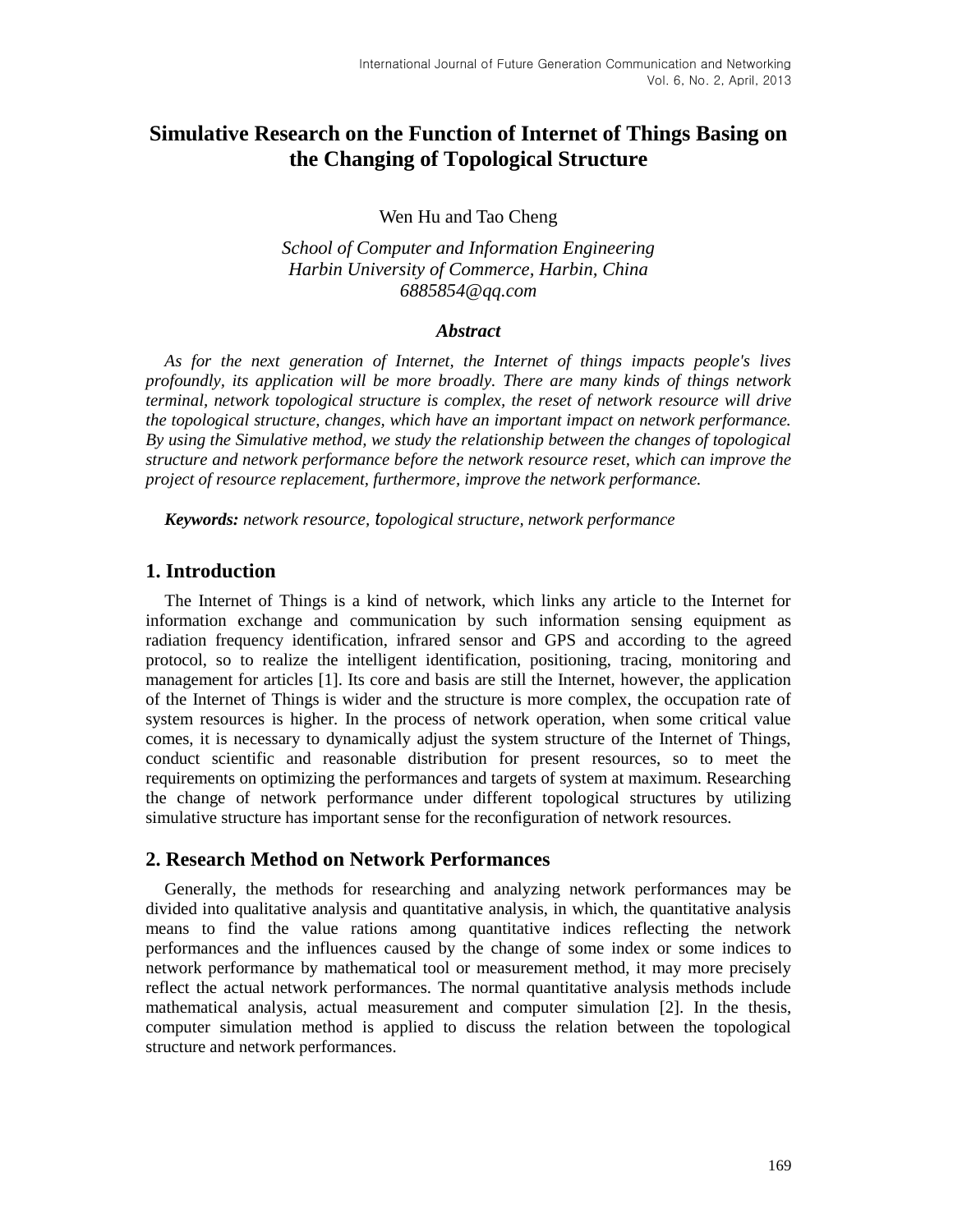# **Simulative Research on the Function of Internet of Things Basing on the Changing of Topological Structure**

Wen Hu and Tao Cheng

*School of Computer and Information Engineering Harbin University of Commerce, Harbin, China 6885854@qq.com*

### *Abstract*

*As for the next generation of Internet, the Internet of things impacts people's lives profoundly, its application will be more broadly. There are many kinds of things network terminal, network topological structure is complex, the reset of network [resource](http://dict.baidu.com/s?wd=resource) will drive the topological structure, changes, which have an important impact on network performance. By using the Simulative method, we study the relationship between the changes of topological structure and network performance before the network [resource](http://dict.baidu.com/s?wd=resource) reset, which can improve the project of resource replacement, furthermore, improve the network performance.*

*Keywords: network [resource](http://dict.baidu.com/s?wd=resource), topological structure, network performance*

## **1. Introduction**

The Internet of Things is a kind of network, which links any article to the Internet for information exchange and communication by such information sensing equipment as radiation frequency identification, infrared sensor and GPS and according to the agreed protocol, so to realize the intelligent identification, positioning, tracing, monitoring and management for articles [1]. Its core and basis are still the Internet, however, the application of the Internet of Things is wider and the structure is more complex, the occupation rate of system resources is higher. In the process of network operation, when some critical value comes, it is necessary to dynamically adjust the system structure of the Internet of Things, conduct scientific and reasonable distribution for present resources, so to meet the requirements on optimizing the performances and targets of system at maximum. Researching the change of network performance under different topological structures by utilizing simulative structure has important sense for the reconfiguration of network resources.

## **2. Research Method on Network Performances**

Generally, the methods for researching and analyzing network performances may be divided into qualitative analysis and quantitative analysis, in which, the quantitative analysis means to find the value rations among quantitative indices reflecting the network performances and the influences caused by the change of some index or some indices to network performance by mathematical tool or measurement method, it may more precisely reflect the actual network performances. The normal quantitative analysis methods include mathematical analysis, actual measurement and computer simulation [2]. In the thesis, computer simulation method is applied to discuss the relation between the topological structure and network performances.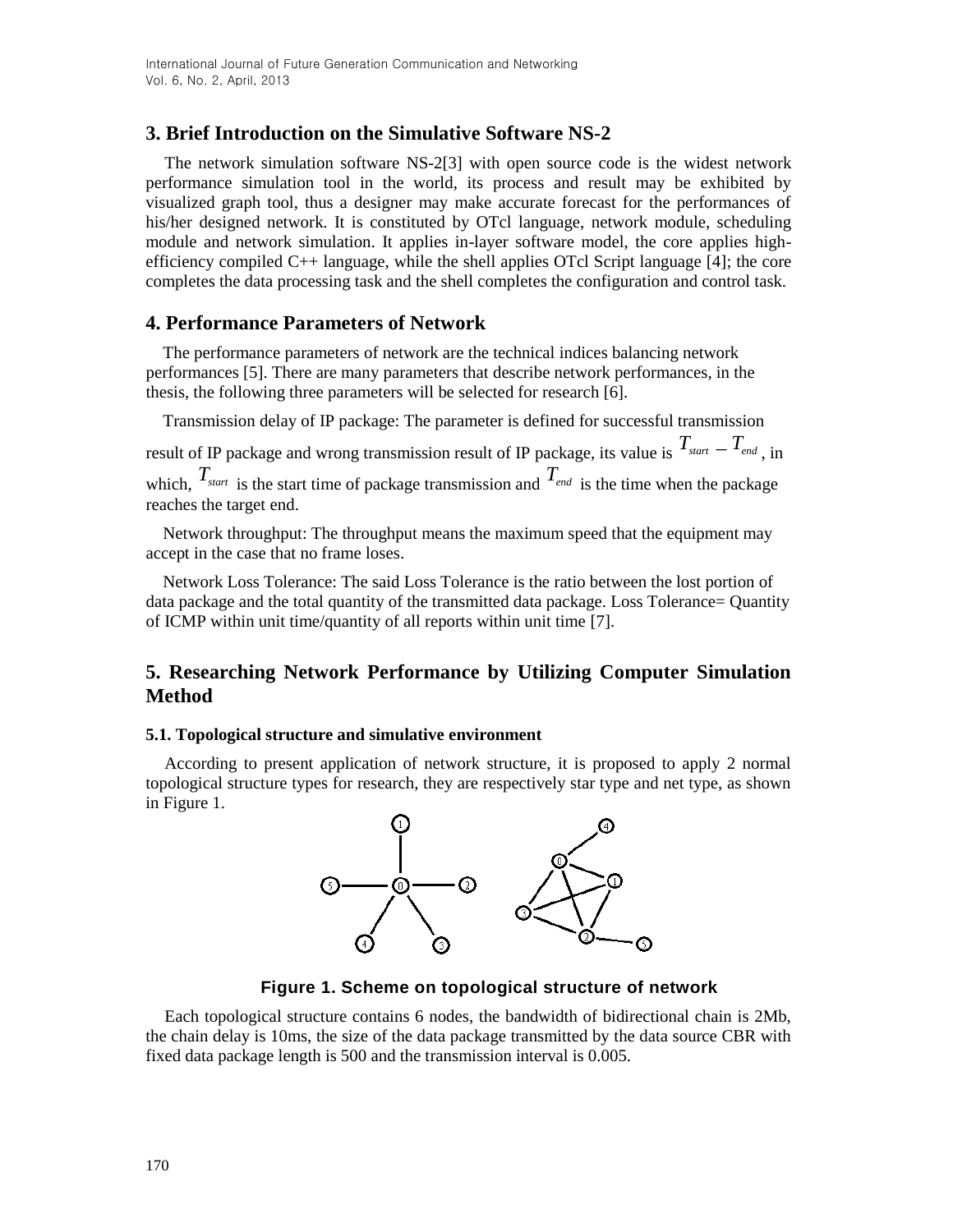## **3. Brief Introduction on the Simulative Software NS-2**

The network simulation software NS-2[3] with open source code is the widest network performance simulation tool in the world, its process and result may be exhibited by visualized graph tool, thus a designer may make accurate forecast for the performances of his/her designed network. It is constituted by OTcl language, network module, scheduling module and network simulation. It applies in-layer software model, the core applies highefficiency compiled  $C_{++}$  language, while the shell applies OTcl Script language [4]; the core completes the data processing task and the shell completes the configuration and control task.

## **4. Performance Parameters of Network**

The performance parameters of network are the technical indices balancing network performances [5]. There are many parameters that describe network performances, in the thesis, the following three parameters will be selected for research [6].

Transmission delay of IP package: The parameter is defined for successful transmission

result of IP package and wrong transmission result of IP package, its value is  $T_{\text{start}} = T_{\text{end}}$ , in which,  $T_{\text{start}}$  is the start time of package transmission and  $T_{\text{end}}$  is the time when the package reaches the target end.

Network throughput: The throughput means the maximum speed that the equipment may accept in the case that no frame loses.

Network Loss Tolerance: The said Loss Tolerance is the ratio between the lost portion of data package and the total quantity of the transmitted data package. Loss Tolerance= Quantity of ICMP within unit time/quantity of all reports within unit time [7].

## **5. Researching Network Performance by Utilizing Computer Simulation Method**

### **5.1. Topological structure and simulative environment**

According to present application of network structure, it is proposed to apply 2 normal topological structure types for research, they are respectively star type and net type, as shown in Figure 1.



**Figure 1. Scheme on topological structure of network**

Each topological structure contains 6 nodes, the bandwidth of bidirectional chain is 2Mb, the chain delay is 10ms, the size of the data package transmitted by the data source CBR with fixed data package length is 500 and the transmission interval is 0.005.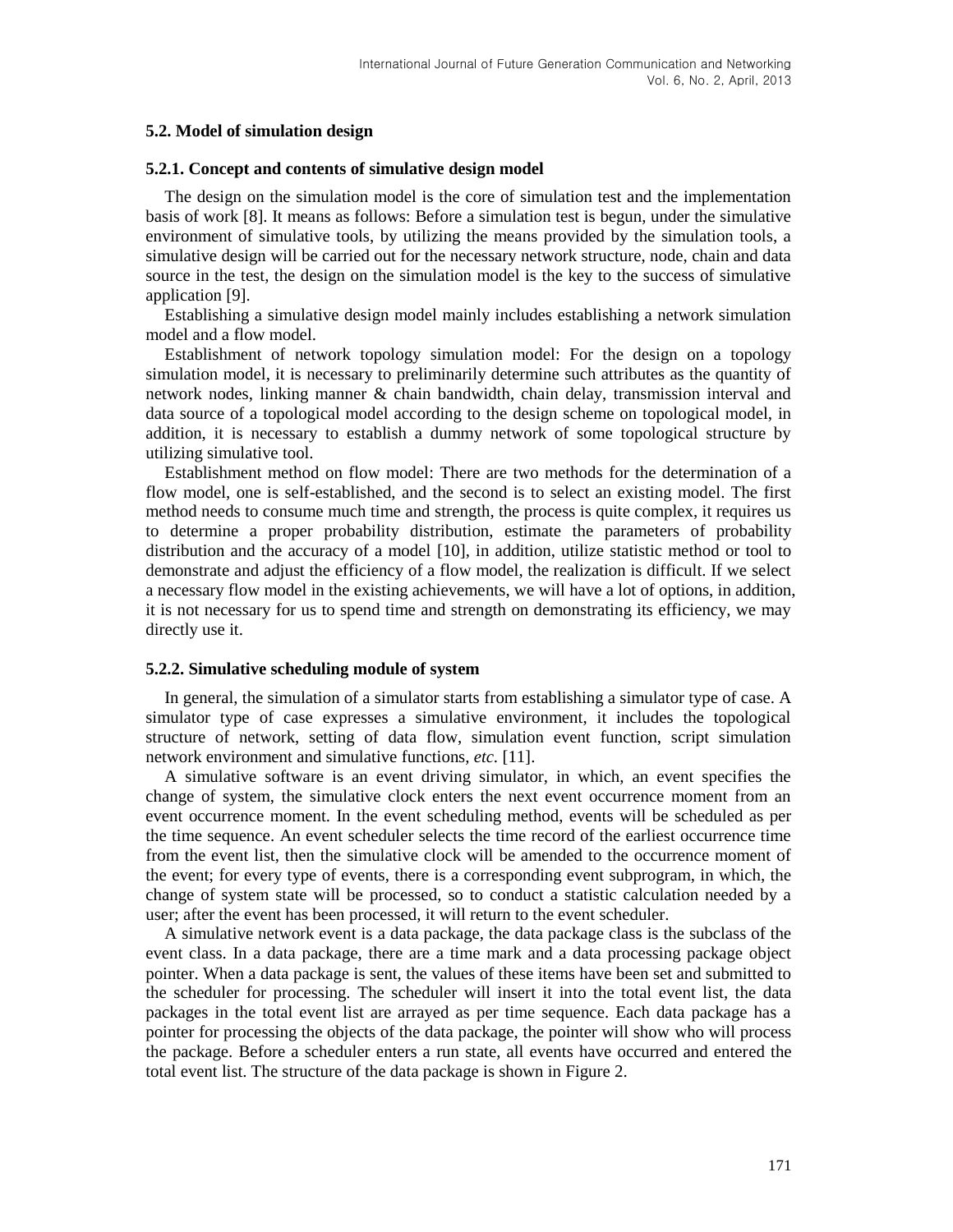#### **5.2. Model of simulation design**

#### **5.2.1. Concept and contents of simulative design model**

The design on the simulation model is the core of simulation test and the implementation basis of work [8]. It means as follows: Before a simulation test is begun, under the simulative environment of simulative tools, by utilizing the means provided by the simulation tools, a simulative design will be carried out for the necessary network structure, node, chain and data source in the test, the design on the simulation model is the key to the success of simulative application [9].

Establishing a simulative design model mainly includes establishing a network simulation model and a flow model.

Establishment of network topology simulation model: For the design on a topology simulation model, it is necessary to preliminarily determine such attributes as the quantity of network nodes, linking manner & chain bandwidth, chain delay, transmission interval and data source of a topological model according to the design scheme on topological model, in addition, it is necessary to establish a dummy network of some topological structure by utilizing simulative tool.

Establishment method on flow model: There are two methods for the determination of a flow model, one is self-established, and the second is to select an existing model. The first method needs to consume much time and strength, the process is quite complex, it requires us to determine a proper probability distribution, estimate the parameters of probability distribution and the accuracy of a model [10], in addition, utilize statistic method or tool to demonstrate and adjust the efficiency of a flow model, the realization is difficult. If we select a necessary flow model in the existing achievements, we will have a lot of options, in addition, it is not necessary for us to spend time and strength on demonstrating its efficiency, we may directly use it.

#### **5.2.2. Simulative scheduling module of system**

In general, the simulation of a simulator starts from establishing a simulator type of case. A simulator type of case expresses a simulative environment, it includes the topological structure of network, setting of data flow, simulation event function, script simulation network environment and simulative functions*, etc.* [11].

A simulative software is an event driving simulator, in which, an event specifies the change of system, the simulative clock enters the next event occurrence moment from an event occurrence moment. In the event scheduling method, events will be scheduled as per the time sequence. An event scheduler selects the time record of the earliest occurrence time from the event list, then the simulative clock will be amended to the occurrence moment of the event; for every type of events, there is a corresponding event subprogram, in which, the change of system state will be processed, so to conduct a statistic calculation needed by a user; after the event has been processed, it will return to the event scheduler.

A simulative network event is a data package, the data package class is the subclass of the event class. In a data package, there are a time mark and a data processing package object pointer. When a data package is sent, the values of these items have been set and submitted to the scheduler for processing. The scheduler will insert it into the total event list, the data packages in the total event list are arrayed as per time sequence. Each data package has a pointer for processing the objects of the data package, the pointer will show who will process the package. Before a scheduler enters a run state, all events have occurred and entered the total event list. The structure of the data package is shown in Figure 2.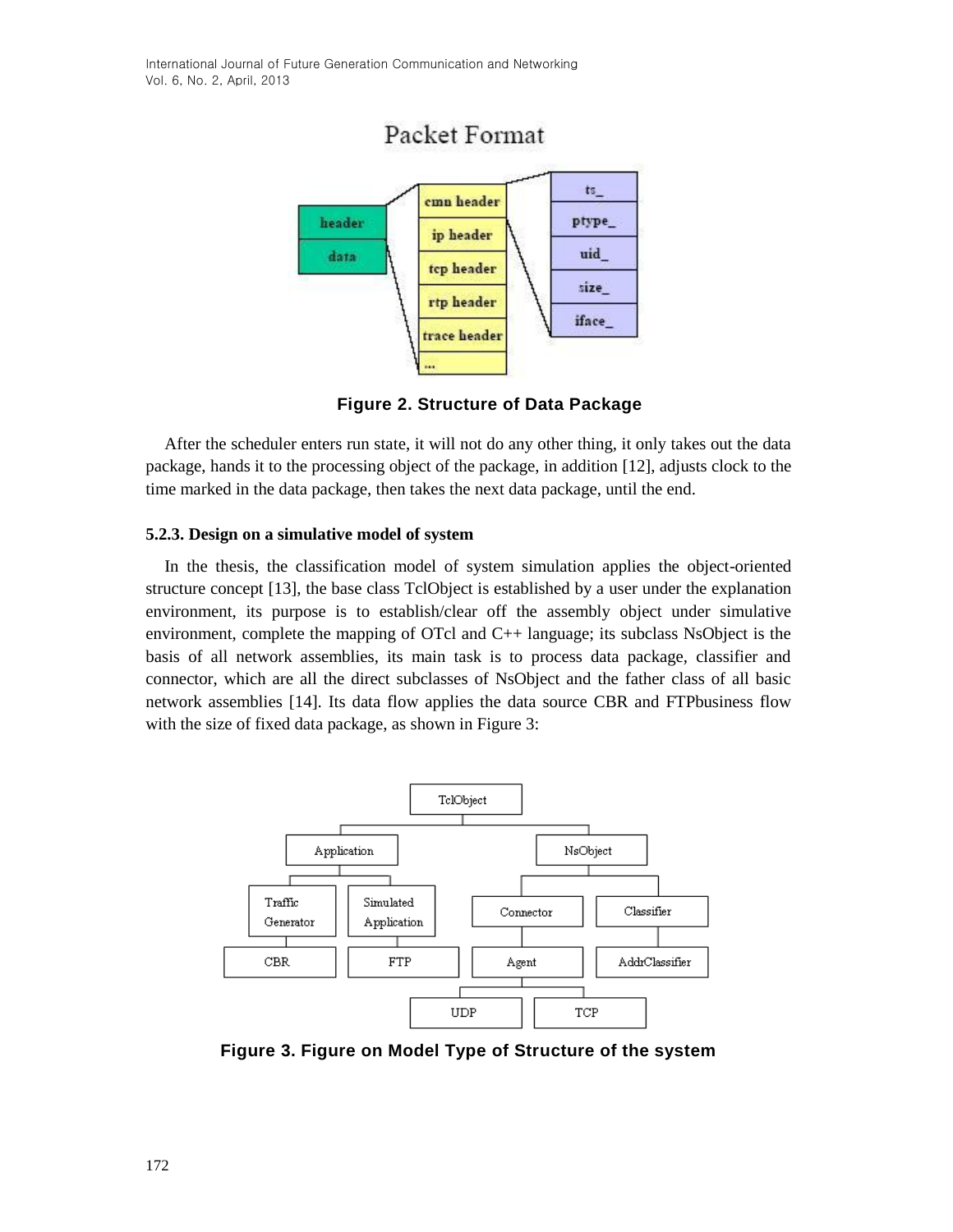

**Figure 2. Structure of Data Package**

After the scheduler enters run state, it will not do any other thing, it only takes out the data package, hands it to the processing object of the package, in addition [12], adjusts clock to the time marked in the data package, then takes the next data package, until the end.

## **5.2.3. Design on a simulative model of system**

In the thesis, the classification model of system simulation applies the object-oriented structure concept [13], the base class TclObject is established by a user under the explanation environment, its purpose is to establish/clear off the assembly object under simulative environment, complete the mapping of OTcl and C++ language; its subclass NsObject is the basis of all network assemblies, its main task is to process data package, classifier and connector, which are all the direct subclasses of NsObject and the father class of all basic network assemblies [14]. Its data flow applies the data source CBR and FTPbusiness flow with the size of fixed data package, as shown in Figure 3:



**Figure 3. Figure on Model Type of Structure of the system**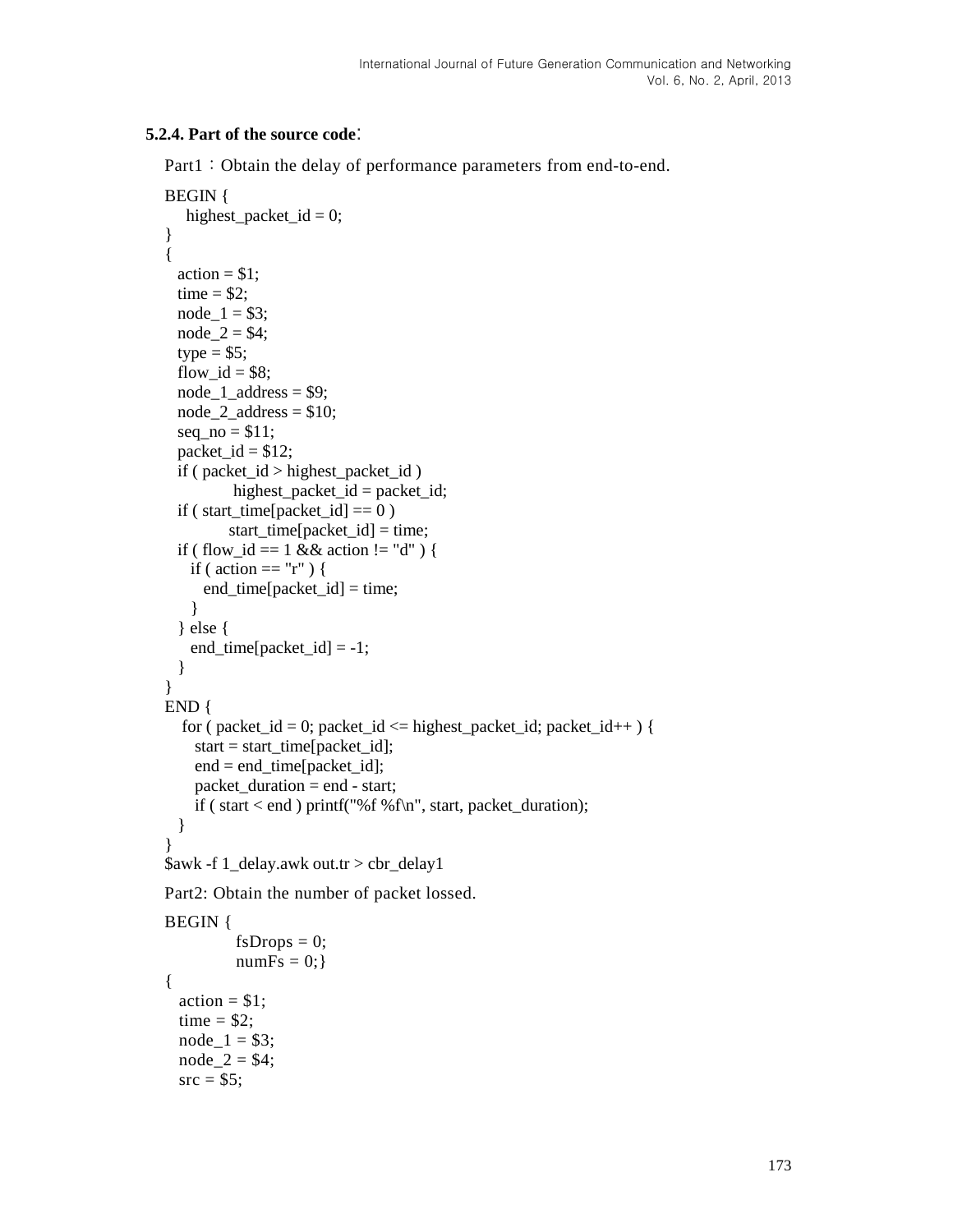### **5.2.4. Part of the source code**:

Part1: Obtain the delay of performance parameters from end-to-end.

```
BEGIN {
   highest_packet_id = 0;
}
{
  \arctan = $1;
  time = $2;node_1 = $3;node_2 = $4;type = $5;
  flow id = $8;
  node_1\_address = $9;node 2 address = $10;seq\_no = $11;packet_id = $12; if ( packet_id > highest_packet_id )
         highest_packet_id = packet_id;
  if (start_time[packet_id] == 0)
          start_time[packet_id] = time;
  if ( flow id = 1 \&\& action != "d" ) {
   if ( action == "r" ) {
      end_time[packet_id] = time;
     }
   } else {
   end_time[packet_id] = -1;
   }
} 
END {
  for (packet_id = 0; packet_id \leq highest\_packet_id; packet_id++) {
    start = start_time[packet_id];
    end = end_time[packet_id]; packet_duration = end - start;
     if ( start < end ) printf("%f %f\n", start, packet_duration);
   }
}
$awk -f 1_delay.awk out.tr > cbr_delay1
Part2: Obtain the number of packet lossed.
BEGIN {
          fsDrops = 0;numFs = 0;{
  \text{action} = $1;time = $2;node_1 = $3;node_2 = $4;src = $5;
```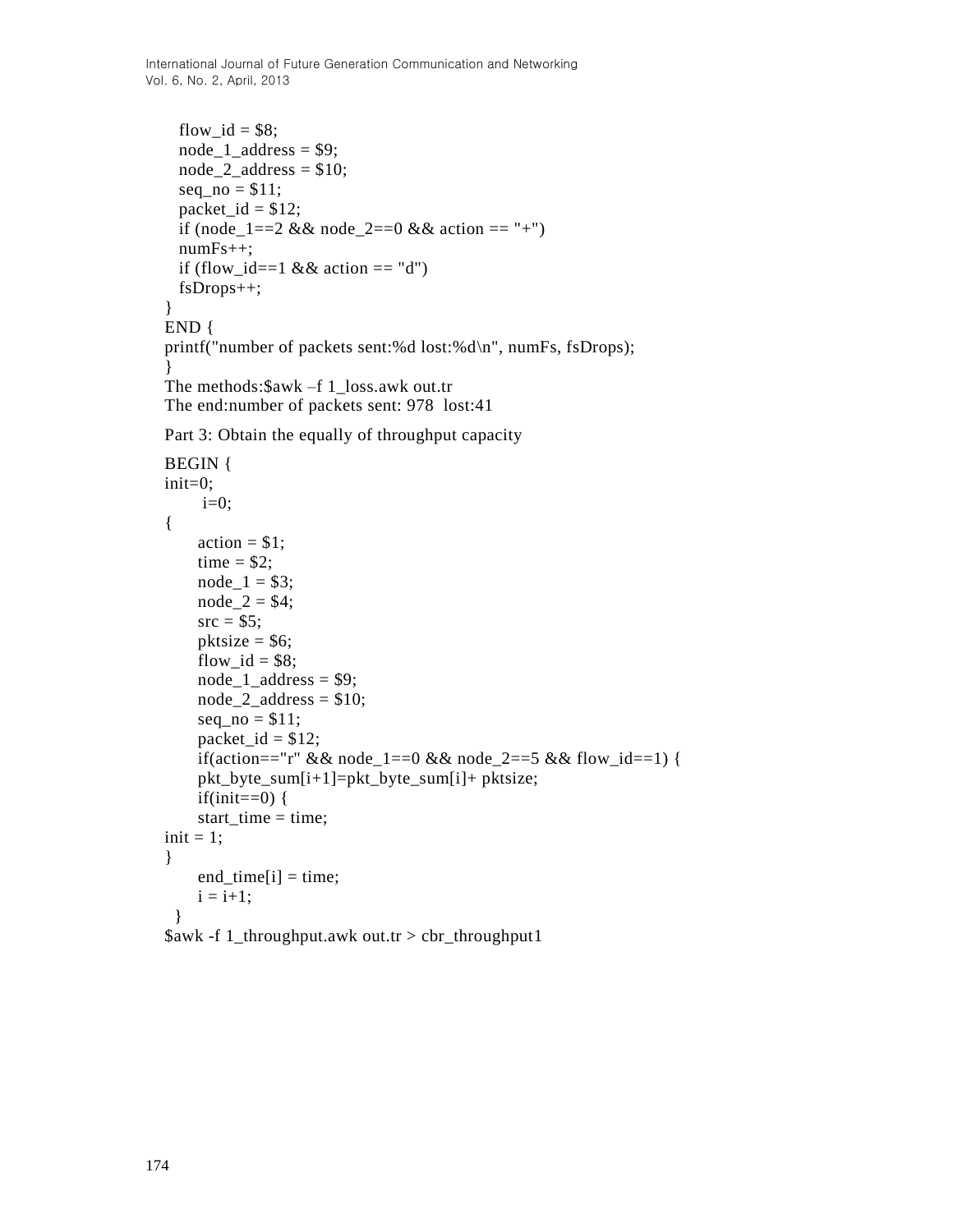International Journal of Future Generation Communication and Networking Vol. 6, No. 2, April, 2013

```
flow id = $8;node_1_{address} = $9;node_2_address = $10;seq\_no = $11;packet_id = $12;if (node_1==2 && node_2==0 && action == "+")
  numFs++;
 if (flow_id==1 && action == 'd')
  fsDrops++;
}
END {
printf("number of packets sent:%d lost:%d\n", numFs, fsDrops);
}
The methods:$awk –f 1_loss.awk out.tr
The end:number of packets sent: 978 lost:41
Part 3: Obtain the equally of throughput capacity
BEGIN {
init=0;
    i=0;
{
    \arctan = $1;
    time = $2;node_1 = $3;node_2 = $4;src = $5;pktsize = $6;flow id = $8;node_1_{address} = $9;node_2_address = $10;seq\_no = $11;packet id = $12;
    if(action=="r" && node_1==0 && node_2==5 && flow_id==1) {
     pkt_byte_sum[i+1]=pkt_byte_sum[i]+ pktsize;
    if(init==0) {
    start_time = time;init = 1;}
    end_time[i] = time;i = i+1; }
```
\$awk -f 1\_throughput.awk out.tr > cbr\_throughput1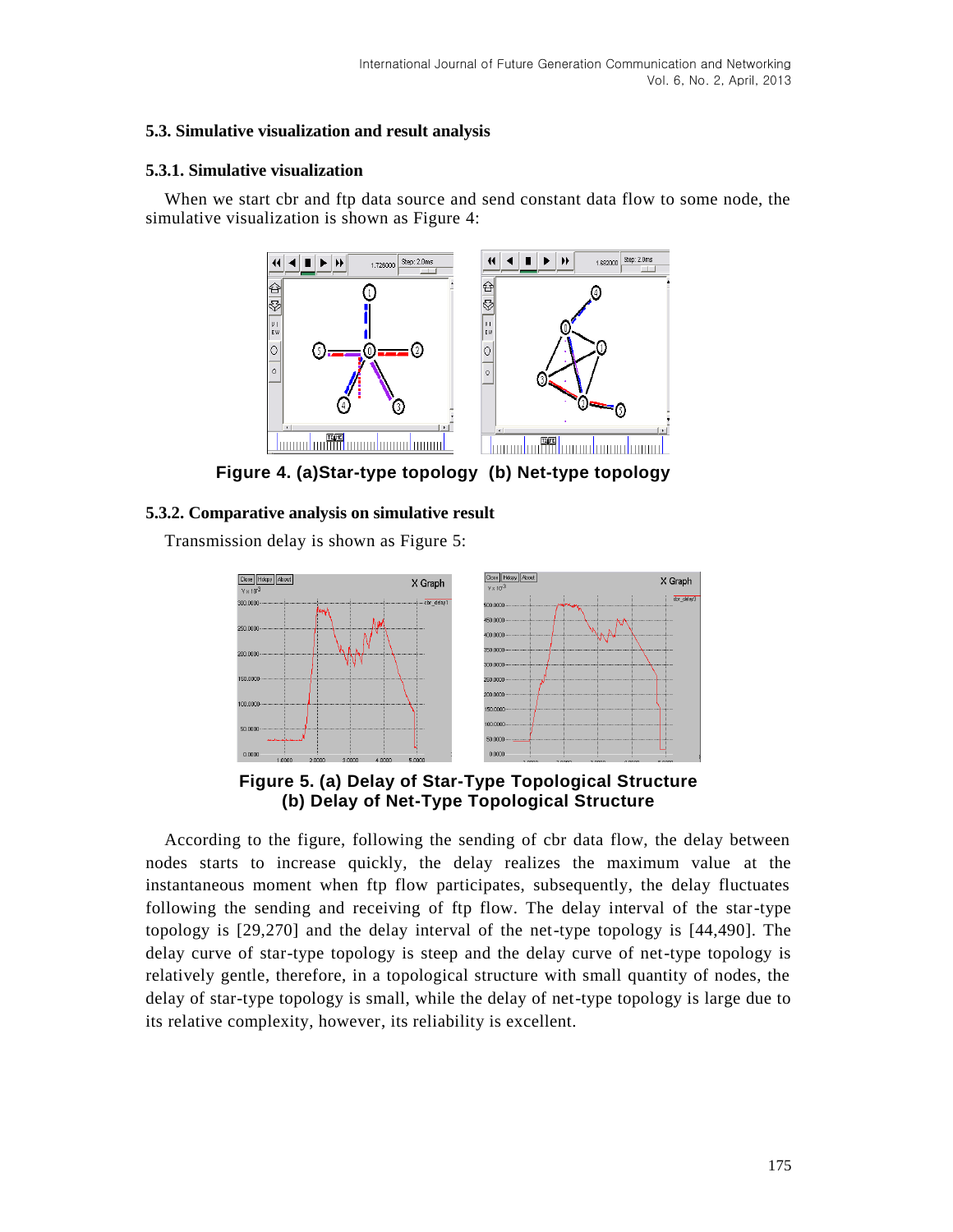## **5.3. Simulative visualization and result analysis**

### **5.3.1. Simulative visualization**

When we start cbr and ftp data source and send constant data flow to some node, the simulative visualization is shown as Figure 4:



**Figure 4. (a)Star-type topology (b) Net-type topology**

### **5.3.2. Comparative analysis on simulative result**

Transmission delay is shown as Figure 5:



**Figure 5. (a) Delay of Star-Type Topological Structure (b) Delay of Net-Type Topological Structure**

According to the figure, following the sending of cbr data flow, the delay between nodes starts to increase quickly, the delay realizes the maximum value at the instantaneous moment when ftp flow participates, subsequently, the delay fluctuates following the sending and receiving of ftp flow. The delay interval of the star-type topology is [29,270] and the delay interval of the net-type topology is [44,490]. The delay curve of star-type topology is steep and the delay curve of net-type topology is relatively gentle, therefore, in a topological structure with small quantity of nodes, the delay of star-type topology is small, while the delay of net-type topology is large due to its relative complexity, however, its reliability is excellent.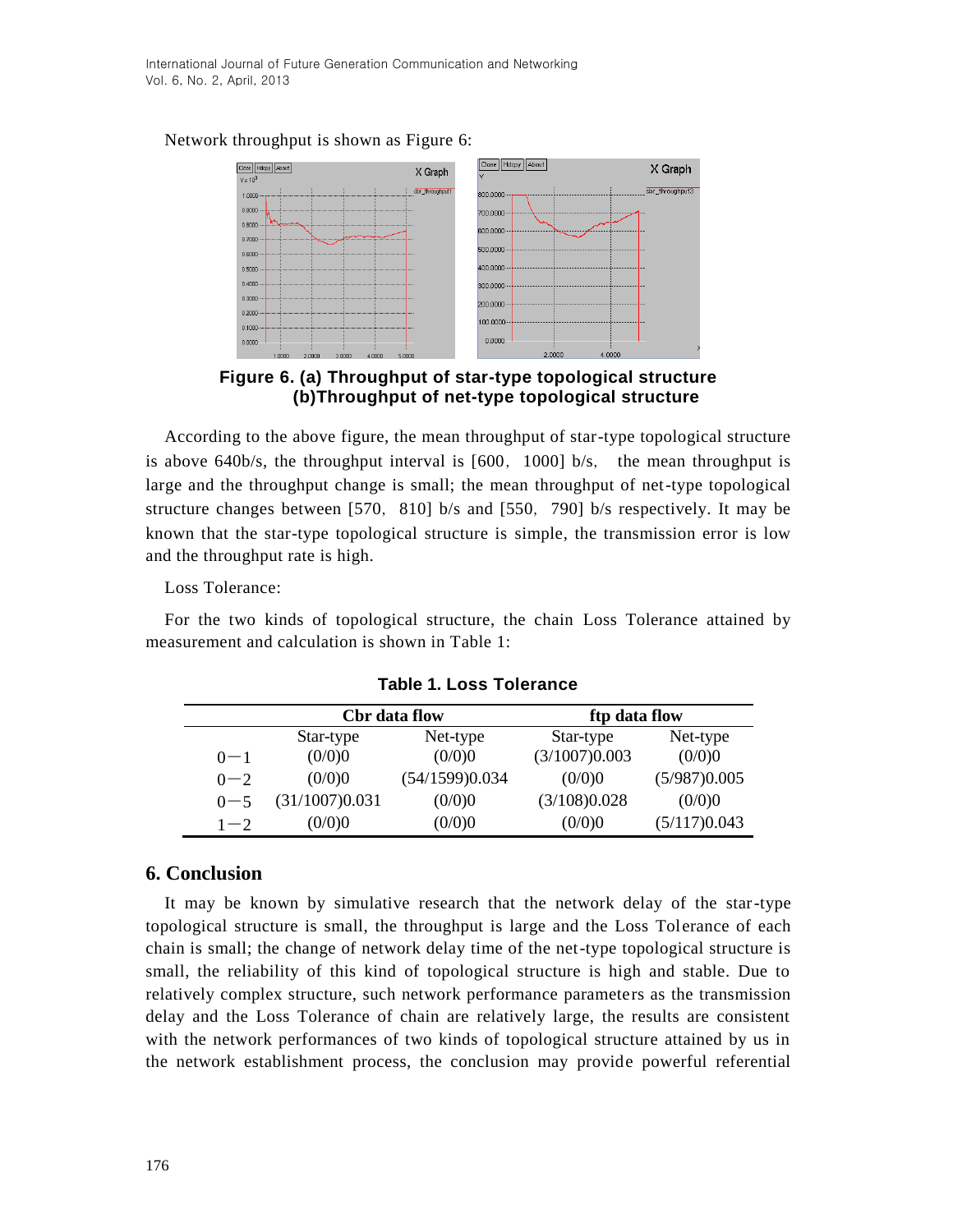

Network throughput is shown as Figure 6:

**Figure 6. (a) Throughput of star-type topological structure (b)Throughput of net-type topological structure**

According to the above figure, the mean throughput of star-type topological structure is above  $640b/s$ , the throughput interval is  $[600, 1000]$  b/s, the mean throughput is large and the throughput change is small; the mean throughput of net-type topological structure changes between [570, 810] b/s and [550, 790] b/s respectively. It may be known that the star-type topological structure is simple, the transmission error is low and the throughput rate is high.

Loss Tolerance:

For the two kinds of topological structure, the chain Loss Tolerance attained by measurement and calculation is shown in Table 1:

|         | Cbr data flow  |                | ftp data flow |              |
|---------|----------------|----------------|---------------|--------------|
|         | Star-type      | Net-type       | Star-type     | Net-type     |
| $0 - 1$ | (0/0)0         | (0/0)0         | (3/1007)0.003 | (0/0)0       |
| $0 - 2$ | (0/0)0         | (54/1599)0.034 | (0/0)0        | (5/987)0.005 |
| $0 - 5$ | (31/1007)0.031 | (0/0)0         | (3/108)0.028  | (0/0)0       |
| $1 - 2$ | (0/0)0         | (0/0)0         | (0/0)0        | (5/117)0.043 |

**Table 1. Loss Tolerance**

## **6. Conclusion**

It may be known by simulative research that the network delay of the star-type topological structure is small, the throughput is large and the Loss Tolerance of each chain is small; the change of network delay time of the net-type topological structure is small, the reliability of this kind of topological structure is high and stable. Due to relatively complex structure, such network performance parameters as the transmission delay and the Loss Tolerance of chain are relatively large, the results are consistent with the network performances of two kinds of topological structure attained by us in the network establishment process, the conclusion may provide powerful referential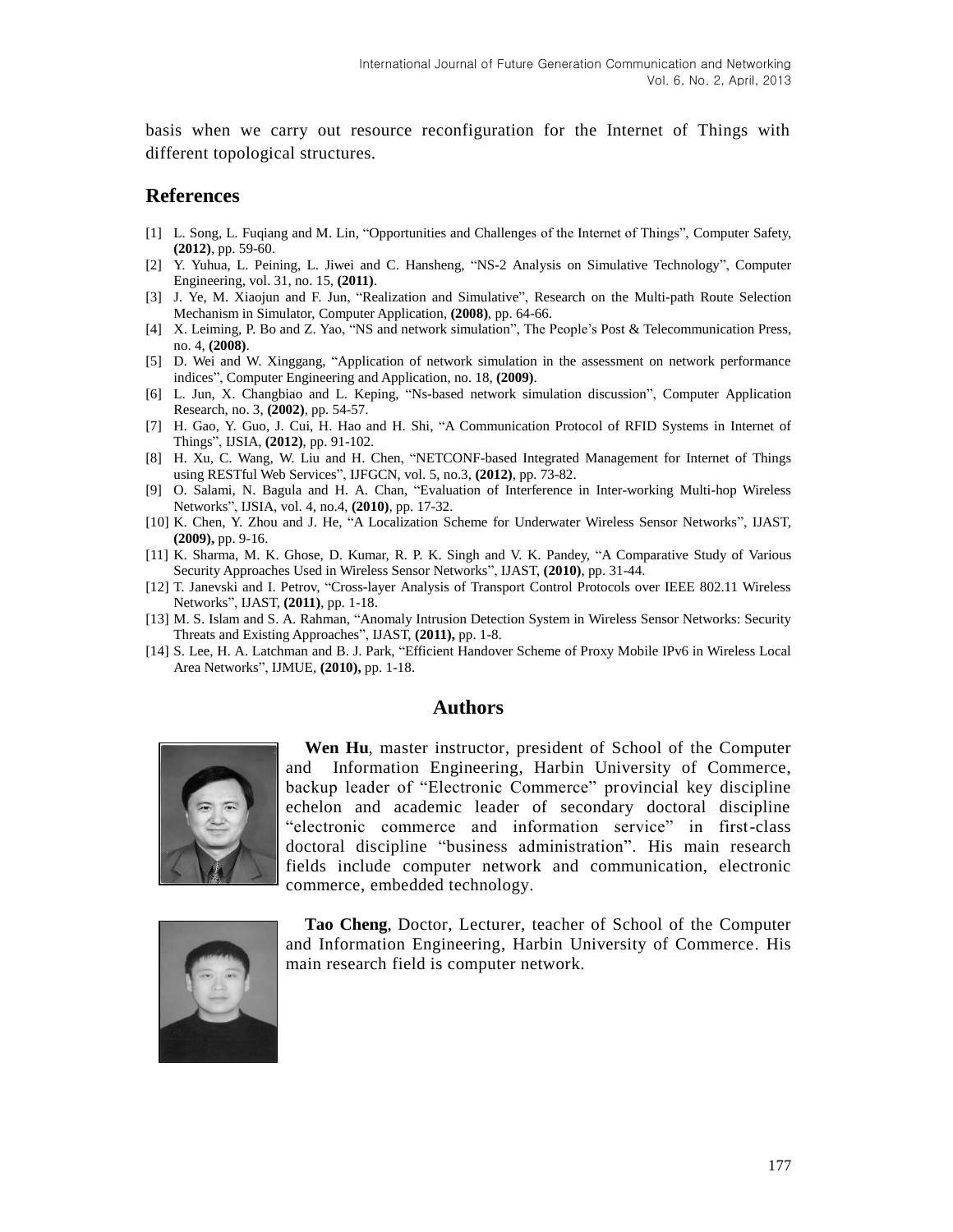basis when we carry out resource reconfiguration for the Internet of Things with different topological structures.

### **References**

- [1] L. Song, L. Fuqiang and M. Lin, "Opportunities and Challenges of the Internet of Things", Computer Safety, **(2012)**, pp. 59-60.
- [2] Y. Yuhua, L. Peining, L. Jiwei and C. Hansheng, "NS-2 Analysis on Simulative Technology", Computer Engineering, vol. 31, no. 15, **(2011)**.
- [3] J. Ye, M. Xiaojun and F. Jun, "Realization and Simulative", Research on the Multi-path Route Selection Mechanism in Simulator, Computer Application, **(2008)**, pp. 64-66.
- [4] X. Leiming, P. Bo and Z. Yao, "NS and network simulation", The People's Post & Telecommunication Press, no. 4, **(2008)**.
- [5] D. Wei and W. Xinggang, "Application of network simulation in the assessment on network performance indices", Computer Engineering and Application, no. 18, **(2009)**.
- [6] L. Jun, X. Changbiao and L. Keping, "Ns-based network simulation discussion", Computer Application Research, no. 3, **(2002)**, pp. 54-57.
- [7] H. Gao, Y. Guo, J. Cui, H. Hao and H. Shi, "A Communication Protocol of RFID Systems in Internet of Things", IJSIA, **(2012)**, pp. 91-102.
- [8] H. Xu, C. Wang, W. Liu and H. Chen, "NETCONF-based Integrated Management for Internet of Things using RESTful Web Services", IJFGCN, vol. 5, no.3, **(2012)**, pp. 73-82.
- [9] O. Salami, N. Bagula and H. A. Chan, "Evaluation of Interference in Inter-working Multi-hop Wireless Networks", IJSIA, vol. 4, no.4, **(2010)**, pp. 17-32.
- [10] K. Chen, Y. Zhou and J. He, "A Localization Scheme for Underwater Wireless Sensor Networks", IJAST, **(2009),** pp. 9-16.
- [11] K. Sharma, M. K. Ghose, D. Kumar, R. P. K. Singh and V. K. Pandey, "A Comparative Study of Various Security Approaches Used in Wireless Sensor Networks", IJAST, **(2010)**, pp. 31-44.
- [12] T. Janevski and I. Petrov, "Cross-layer Analysis of Transport Control Protocols over IEEE 802.11 Wireless Networks", IJAST, **(2011)**, pp. 1-18.
- [13] M. S. Islam and S. A. Rahman, "Anomaly Intrusion Detection System in Wireless Sensor Networks: Security Threats and Existing Approaches", IJAST, **(2011),** pp. 1-8.
- [14] S. Lee, H. A. Latchman and B. J. Park, "Efficient Handover Scheme of Proxy Mobile IPv6 in Wireless Local Area Networks", IJMUE, **(2010),** pp. 1-18.

### **Authors**



**Wen Hu**, master instructor, president of School of the Computer and Information Engineering, Harbin University of Commerce, backup leader of "Electronic Commerce" provincial key discipline echelon and academic leader of secondary doctoral discipline "electronic commerce and information service" in first-class doctoral discipline "business administration". His main research fields include computer network and communication, electronic commerce, embedded technology.



**Tao Cheng**, Doctor, Lecturer, teacher of School of the Computer and Information Engineering, Harbin University of Commerce. His main research field is computer network.